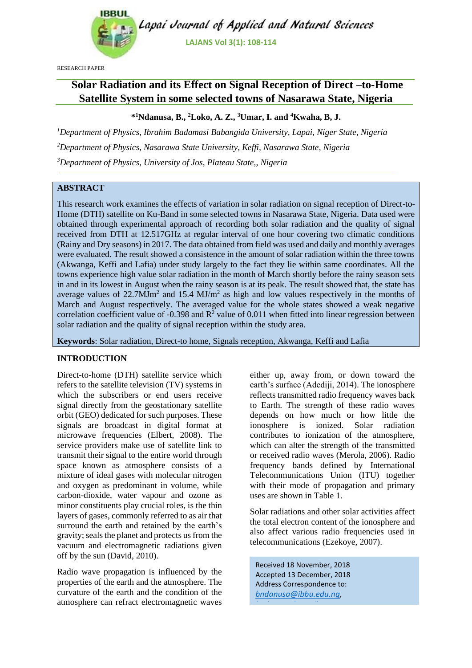

RESEARCH PAPER

# **Solar Radiation and its Effect on Signal Reception of Direct –to-Home Satellite System in some selected towns of Nasarawa State, Nigeria**

## **\* <sup>1</sup>Ndanusa, B., <sup>2</sup>Loko, A. Z., <sup>3</sup>Umar, I. and <sup>4</sup>Kwaha, B, J.**

*<sup>1</sup>Department of Physics, Ibrahim Badamasi Babangida University, Lapai, Niger State, Nigeria <sup>2</sup>Department of Physics, Nasarawa State University, Keffi, Nasarawa State, Nigeria <sup>3</sup>Department of Physics, University of Jos, Plateau State,, Nigeria*

# **ABSTRACT**

This research work examines the effects of variation in solar radiation on signal reception of Direct-to-Home (DTH) satellite on Ku-Band in some selected towns in Nasarawa State, Nigeria. Data used were obtained through experimental approach of recording both solar radiation and the quality of signal received from DTH at 12.517GHz at regular interval of one hour covering two climatic conditions (Rainy and Dry seasons) in 2017. The data obtained from field was used and daily and monthly averages were evaluated. The result showed a consistence in the amount of solar radiation within the three towns (Akwanga, Keffi and Lafia) under study largely to the fact they lie within same coordinates. All the towns experience high value solar radiation in the month of March shortly before the rainy season sets in and in its lowest in August when the rainy season is at its peak. The result showed that, the state has average values of  $22.7$ MJm<sup>2</sup> and  $15.4$  MJ/m<sup>2</sup> as high and low values respectively in the months of March and August respectively. The averaged value for the whole states showed a weak negative correlation coefficient value of  $-0.398$  and  $\mathbb{R}^2$  value of  $0.011$  when fitted into linear regression between solar radiation and the quality of signal reception within the study area.

**Keywords**: Solar radiation, Direct-to home, Signals reception, Akwanga, Keffi and Lafia

### **INTRODUCTION**

Direct-to-home (DTH) satellite service which refers to the satellite television (TV) systems in which the subscribers or end users receive signal directly from the geostationary satellite orbit (GEO) dedicated for such purposes. These signals are broadcast in digital format at microwave frequencies (Elbert, 2008). The service providers make use of satellite link to transmit their signal to the entire world through space known as atmosphere consists of a mixture of ideal gases with molecular nitrogen and oxygen as predominant in volume, while carbon-dioxide, water vapour and ozone as minor constituents play crucial roles, is the thin layers of gases, commonly referred to as air that surround the earth and retained by the earth's gravity; seals the planet and protects us from the vacuum and electromagnetic radiations given off by the sun (David, 2010).

Radio wave propagation is influenced by the properties of the earth and the atmosphere. The curvature of the earth and the condition of the atmosphere can refract electromagnetic waves either up, away from, or down toward the earth's surface (Adediji, 2014). The ionosphere reflects transmitted radio frequency waves back to Earth. The strength of these radio waves depends on how much or how little the ionosphere is ionized. Solar radiation contributes to ionization of the atmosphere, which can alter the strength of the transmitted or received radio waves (Merola, 2006). Radio frequency bands defined by International Telecommunications Union (ITU) together with their mode of propagation and primary uses are shown in Table 1.

Solar radiations and other solar activities affect the total electron content of the ionosphere and also affect various radio frequencies used in telecommunications (Ezekoye, 2007).

Received 18 November, 2018 Accepted 13 December, 2018 Address Correspondence to: *[bndanusa@ibbu.edu.ng,](mailto:bndanusa@ibbu.edu.ng)* 

*[bndanusa@gmail.com](mailto:bndanusa@gmail.com)*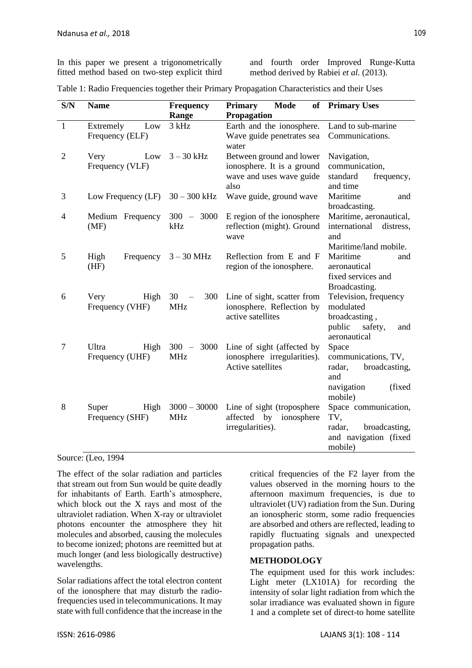In this paper we present a trigonometrically fitted method based on two-step explicit third

and fourth order Improved Runge-Kutta method derived by Rabiei *et al.* (2013).

|  | Table 1: Radio Frequencies together their Primary Propagation Characteristics and their Uses |  |  |  |  |  |  |
|--|----------------------------------------------------------------------------------------------|--|--|--|--|--|--|
|  |                                                                                              |  |  |  |  |  |  |

| S/N            | <b>Name</b>                         | Frequency<br>Range           | <b>Mode</b><br><b>Primary</b><br>Propagation                                               | of Primary Uses                                                                                    |
|----------------|-------------------------------------|------------------------------|--------------------------------------------------------------------------------------------|----------------------------------------------------------------------------------------------------|
| $\mathbf{1}$   | Low<br>Extremely<br>Frequency (ELF) | 3 kHz                        | Earth and the ionosphere.<br>Wave guide penetrates sea<br>water                            | Land to sub-marine<br>Communications.                                                              |
| $\overline{2}$ | Low<br>Very<br>Frequency (VLF)      | $3 - 30$ kHz                 | Between ground and lower<br>ionosphere. It is a ground<br>wave and uses wave guide<br>also | Navigation,<br>communication,<br>standard<br>frequency,<br>and time                                |
| 3              | Low Frequency (LF)                  | $30 - 300$ kHz               | Wave guide, ground wave                                                                    | Maritime<br>and<br>broadcasting.                                                                   |
| 4              | Medium Frequency<br>(MF)            | $300 - 3000$<br>kHz          | E region of the ionosphere<br>reflection (might). Ground<br>wave                           | Maritime, aeronautical,<br>international<br>distress,<br>and<br>Maritime/land mobile.              |
| 5              | Frequency<br>High<br>(HF)           | $3 - 30$ MHz                 | Reflection from E and F<br>region of the ionosphere.                                       | Maritime<br>and<br>aeronautical<br>fixed services and<br>Broadcasting.                             |
| 6              | Very<br>High<br>Frequency (VHF)     | 30<br>300<br><b>MHz</b>      | Line of sight, scatter from<br>ionosphere. Reflection by<br>active satellites              | Television, frequency<br>modulated<br>broadcasting,<br>public<br>safety,<br>and<br>aeronautical    |
| 7              | Ultra<br>High<br>Frequency (UHF)    | $300 - 3000$<br><b>MHz</b>   | Line of sight (affected by<br>ionosphere irregularities).<br>Active satellites             | Space<br>communications, TV,<br>broadcasting,<br>radar,<br>and<br>(fixed)<br>navigation<br>mobile) |
| 8              | Super<br>High<br>Frequency (SHF)    | $3000 - 30000$<br><b>MHz</b> | Line of sight (troposphere<br>affected by<br>ionosphere<br>irregularities).                | Space communication,<br>TV,<br>broadcasting,<br>radar,<br>and navigation (fixed<br>mobile)         |

Source: (Leo, 1994

The effect of the solar radiation and particles that stream out from Sun would be quite deadly for inhabitants of Earth. Earth's atmosphere, which block out the X rays and most of the ultraviolet radiation. When X-ray or ultraviolet photons encounter the atmosphere they hit molecules and absorbed, causing the molecules to become ionized; photons are reemitted but at much longer (and less biologically destructive) wavelengths.

Solar radiations affect the total electron content of the ionosphere that may disturb the radiofrequencies used in telecommunications. It may state with full confidence that the increase in the critical frequencies of the F2 layer from the values observed in the morning hours to the afternoon maximum frequencies, is due to ultraviolet (UV) radiation from the Sun. During an ionospheric storm, some radio frequencies are absorbed and others are reflected, leading to rapidly fluctuating signals and unexpected propagation paths.

#### **METHODOLOGY**

The equipment used for this work includes: Light meter (LX101A) for recording the intensity of solar light radiation from which the solar irradiance was evaluated shown in figure 1 and a complete set of direct-to home satellite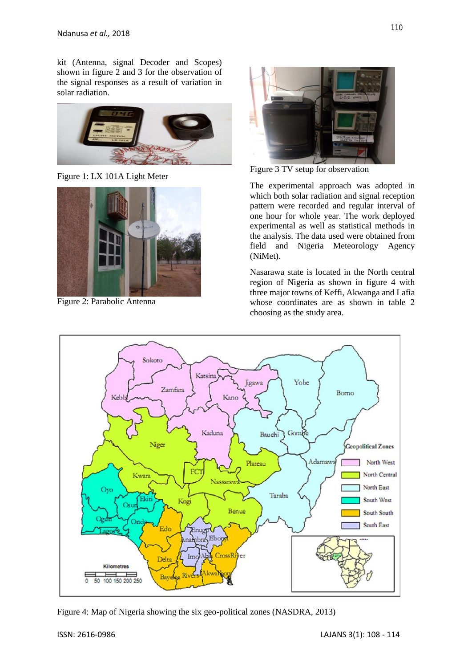kit (Antenna, signal Decoder and Scopes) shown in figure 2 and 3 for the observation of the signal responses as a result of variation in solar radiation.



Figure 1: LX 101A Light Meter



Figure 2: Parabolic Antenna



Figure 3 TV setup for observation

The experimental approach was adopted in which both solar radiation and signal reception pattern were recorded and regular interval of one hour for whole year. The work deployed experimental as well as statistical methods in the analysis. The data used were obtained from field and Nigeria Meteorology Agency (NiMet).

Nasarawa state is located in the North central region of Nigeria as shown in figure 4 with three major towns of Keffi, Akwanga and Lafia whose coordinates are as shown in table 2 choosing as the study area.



Figure 4: Map of Nigeria showing the six geo-political zones (NASDRA, 2013)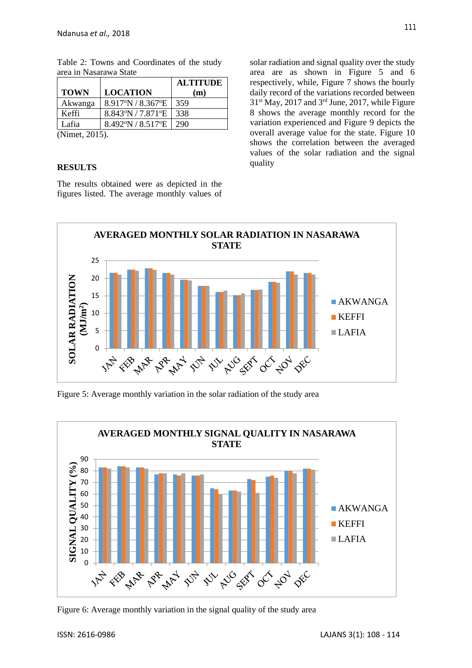|             |                                        | <b>ALTITUDE</b> |
|-------------|----------------------------------------|-----------------|
| <b>TOWN</b> | <b>LOCATION</b>                        | (m)             |
| Akwanga     | $8.917^{\circ}$ N / $8.367^{\circ}$ E  | 359             |
| Keffi       | $8.843^{\circ}$ N / 7.871 $^{\circ}$ E | 338             |
| Lafia       | 8.492°N / 8.517°E                      | 290             |

Table 2: Towns and Coordinates of the study area in Nasarawa State

(Nimet, 2015).

#### **RESULTS**

The results obtained were as depicted in the figures listed. The average monthly values of solar radiation and signal quality over the study area are as shown in Figure 5 and 6 respectively, while, Figure 7 shows the hourly daily record of the variations recorded between  $31<sup>st</sup>$  May, 2017 and  $3<sup>rd</sup>$  June, 2017, while Figure 8 shows the average monthly record for the variation experienced and Figure 9 depicts the overall average value for the state. Figure 10 shows the correlation between the averaged values of the solar radiation and the signal quality



Figure 5: Average monthly variation in the solar radiation of the study area



Figure 6: Average monthly variation in the signal quality of the study area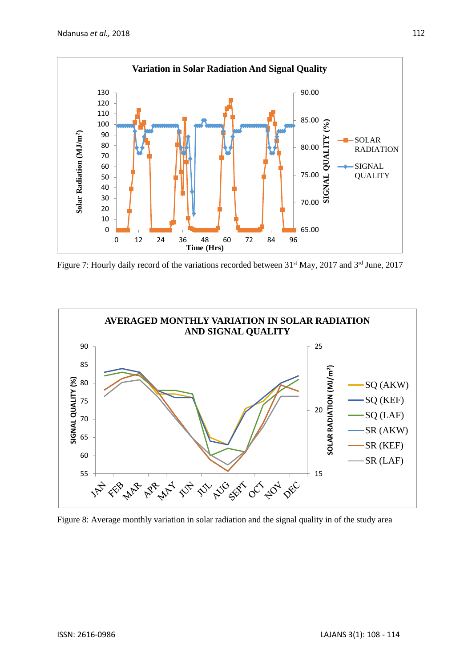

Figure 7: Hourly daily record of the variations recorded between 31<sup>st</sup> May, 2017 and 3<sup>rd</sup> June, 2017



Figure 8: Average monthly variation in solar radiation and the signal quality in of the study area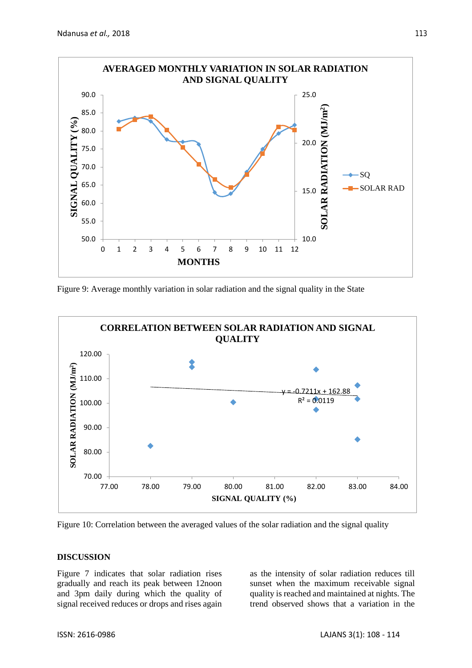

Figure 9: Average monthly variation in solar radiation and the signal quality in the State



Figure 10: Correlation between the averaged values of the solar radiation and the signal quality

#### **DISCUSSION**

Figure 7 indicates that solar radiation rises gradually and reach its peak between 12noon and 3pm daily during which the quality of signal received reduces or drops and rises again

as the intensity of solar radiation reduces till sunset when the maximum receivable signal quality is reached and maintained at nights. The trend observed shows that a variation in the